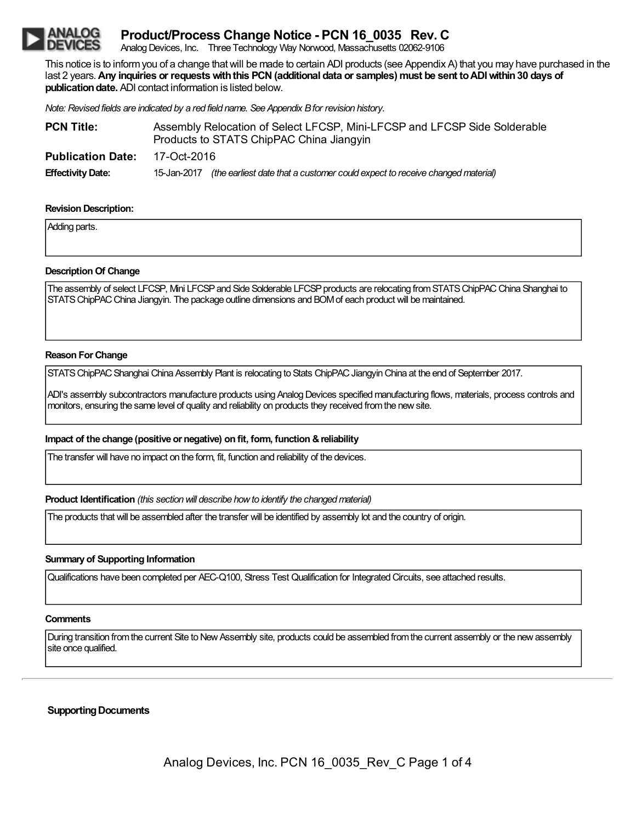# **Product/Process Change Notice - PCN 16\_0035 Rev. C**

Analog Devices, Inc. Three Technology Way Norwood, Massachusetts 02062-9106

This notice is to informyou of a change thatwill be made to certain ADI products (see Appendix A) that you may have purchased in the last 2 years.**Any inquiries or requestswiththis PCN(additional data or samples) must be sent toADIwithin30 days of publication date.** ADI contact information is listed below.

*Note: Revised fields are indicated by a red field name. See Appendix Bfor revision history.*

| <b>PCN Title:</b>        | Assembly Relocation of Select LFCSP, Mini-LFCSP and LFCSP Side Solderable<br>Products to STATS ChipPAC China Jiangyin |  |  |
|--------------------------|-----------------------------------------------------------------------------------------------------------------------|--|--|
| <b>Publication Date:</b> | 17-Oct-2016                                                                                                           |  |  |
| <b>Effectivity Date:</b> | (the earliest date that a customer could expect to receive changed material)<br>15-Jan-2017                           |  |  |

#### **Revision Description:**

Adding parts.

#### **Description Of Change**

The assembly of select LFCSP, Mini LFCSP and Side Solderable LFCSP products are relocating from STATS ChipPAC China Shanghai to STATS ChipPAC China Jiangyin. The package outline dimensions and BOM of each product will be maintained.

#### **Reason ForChange**

STATS ChipPAC Shanghai China Assembly Plant is relocating to Stats ChipPAC Jiangyin China at the end of September 2017.

ADI's assembly subcontractors manufacture products using Analog Devices specified manufacturing flows, materials, process controls and monitors, ensuring the same level of quality and reliability on products they received fromthe newsite.

#### **Impact of the change (positive or negative) on fit, form, function &reliability**

The transfer will have no impact on the form, fit, function and reliability of the devices.

**Product Identification** *(this section will describe how to identify the changed material)* 

The products that will be assembled after the transfer will be identified by assembly lot and the country of origin.

#### **Summary of Supporting Information**

Qualifications have been completed per AEC-Q100, Stress Test Qualification for Integrated Circuits, see attached results.

#### **Comments**

During transition from the current Site to New Assembly site, products could be assembled from the current assembly or the new assembly site once qualified.

#### **Supporting Documents**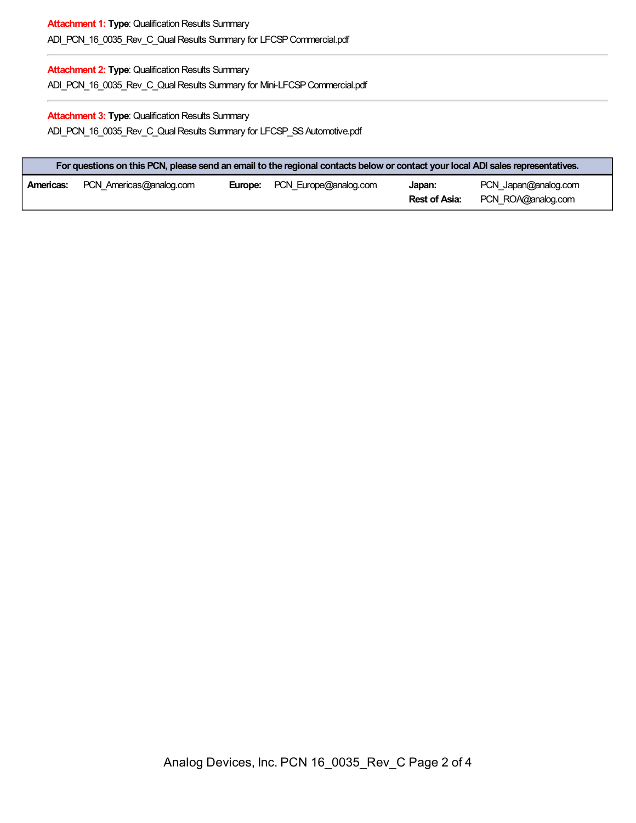## **Attachment 1: Type: Qualification Results Summary** ADI\_PCN\_16\_0035\_Rev\_C\_Qual Results Summary for LFCSP Commercial.pdf

### **Attachment 2: Type: Qualification Results Summary**

ADI\_PCN\_16\_0035\_Rev\_C\_Qual Results Summary for Mini-LFCSP Commercial.pdf

### **Attachment 3: Type: Qualification Results Summary** ADI\_PCN\_16\_0035\_Rev\_C\_Qual Results Summary for LFCSP\_SS Automotive.pdf

| For questions on this PCN, please send an email to the regional contacts below or contact your local ADI sales representatives. |                         |  |                                      |                                |                                            |
|---------------------------------------------------------------------------------------------------------------------------------|-------------------------|--|--------------------------------------|--------------------------------|--------------------------------------------|
| Americas:                                                                                                                       | PCN Americas@analog.com |  | <b>Europe:</b> PCN Europe@analog.com | Japan:<br><b>Rest of Asia:</b> | PCN Japan@analog.com<br>PCN ROA@analog.com |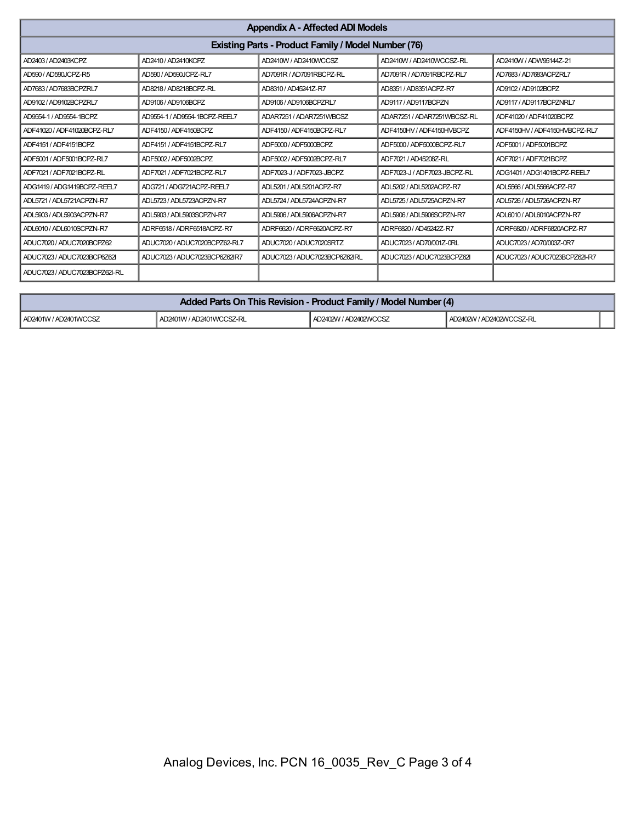| <b>Appendix A - Affected ADI Models</b>             |                               |                               |                              |                               |
|-----------------------------------------------------|-------------------------------|-------------------------------|------------------------------|-------------------------------|
| Existing Parts - Product Family / Model Number (76) |                               |                               |                              |                               |
| AD2403 / AD2403KCPZ                                 | AD2410 / AD2410KCPZ           | AD2410W / AD2410WCCSZ         | AD2410W / AD2410WCCSZ-RL     | AD2410W / ADW95144Z-21        |
| AD590 / AD590JCPZ-R5                                | AD590 / AD590JCPZ-RL7         | AD7091R / AD7091RBCPZ-RL      | AD7091R / AD7091RBCPZ-RL7    | AD7683 / AD7683ACPZRL7        |
| AD7683 / AD7683BCPZRL7                              | AD8218 / AD8218BCPZ-RL        | AD8310 / AD45241Z-R7          | AD8351 / AD8351ACPZ-R7       | AD9102 / AD9102BCPZ           |
| AD9102 / AD9102BCPZRL7                              | AD9106 / AD9106BCPZ           | AD9106 / AD9106BCPZRL7        | AD9117 / AD9117BCPZN         | AD9117 / AD9117BCPZNRL7       |
| AD9554-1 / AD9554-1BCPZ                             | AD9554-1 / AD9554-1BCPZ-REEL7 | ADAR7251 / ADAR7251WBCSZ      | ADAR7251 / ADAR7251WBCSZ-RL  | ADF41020 / ADF41020BCPZ       |
| ADF41020 / ADF41020BCPZ-RL7                         | ADF4150 / ADF4150BCPZ         | ADF4150 / ADF4150BCPZ-RL7     | ADF4150HV / ADF4150HVBCPZ    | ADF4150HV / ADF4150HVBCPZ-RL7 |
| ADF4151 / ADF4151BCPZ                               | ADF4151 / ADF4151BCPZ-RL7     | ADF5000 / ADF5000BCPZ         | ADF5000 / ADF5000BCPZ-RL7    | ADF5001 / ADF5001BCPZ         |
| ADF5001 / ADF5001BCPZ-RL7                           | ADF5002 / ADF5002BCPZ         | ADF5002 / ADF5002BCPZ-RL7     | ADF7021 / AD45208Z-RL        | ADF7021 / ADF7021BCPZ         |
| ADF7021 / ADF7021BCPZ-RL                            | ADF7021 / ADF7021BCPZ-RL7     | ADF7023-J / ADF7023-JBCPZ     | ADF7023-J / ADF7023-JBCPZ-RL | ADG1401 / ADG1401BCPZ-REEL7   |
| ADG1419/ADG1419BCPZ-REEL7                           | ADG721 / ADG721ACPZ-REEL7     | ADL5201 / ADL5201ACPZ-R7      | ADL5202 / ADL5202ACPZ-R7     | ADL5566 / ADL5566ACPZ-R7      |
| ADL5721 / ADL5721ACPZN-R7                           | ADL5723 / ADL5723ACPZN-R7     | ADL5724 / ADL5724ACPZN-R7     | ADL5725 / ADL5725ACPZN-R7    | ADL5726 / ADL5726ACPZN-R7     |
| ADL5903 / ADL5903ACPZN-R7                           | ADL5903 / ADL5903SCPZN-R7     | ADL5906 / ADL5906ACPZN-R7     | ADL5906 / ADL5906SCPZN-R7    | ADL6010 / ADL6010ACPZN-R7     |
| ADL6010/ADL6010SCPZN-R7                             | ADRF6518/ADRF6518ACPZ-R7      | ADRF6620 / ADRF6620ACPZ-R7    | ADRF6820 / AD45242Z-R7       | ADRF6820 / ADRF6820ACPZ-R7    |
| ADUC7020 / ADUC7020BCPZ62                           | ADUC7020 / ADUC7020BCPZ62-RL7 | ADUC7020 / ADUC7020SRTZ       | ADUC7023 / AD70/001Z-0RL     | ADUC7023 / AD70/003Z-0R7      |
| ADUC7023 / ADUC7023BCP6Z62I                         | ADUC7023 / ADUC7023BCP6Z62IR7 | ADUC7023 / ADUC7023BCP6Z62IRL | ADUC7023 / ADUC7023BCPZ62I   | ADUC7023 / ADUC7023BCPZ62I-R7 |
| ADUC7023 / ADUC7023BCPZ62I-RL                       |                               |                               |                              |                               |

| Added Parts On This Revision - Product Family / Model Number (4) |                          |                       |                          |  |
|------------------------------------------------------------------|--------------------------|-----------------------|--------------------------|--|
| AD2401W / AD2401WCCSZ                                            | AD2401W / AD2401WCCSZ-RL | AD2402W / AD2402WCCSZ | AD2402W / AD2402WCCSZ-RL |  |